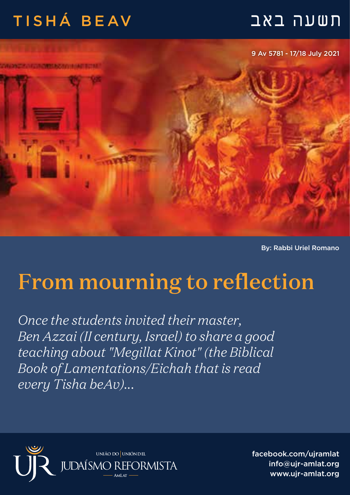## תשעה באב TISHÁ BEAV

9 Av 5781 - 17/18 July 2021

By: Rabbi Uriel Romano

## From mourning to reflection

*Once the students invited their master, Ben Azzai (II century, Israel) to share a good teaching about "Megillat Kinot" (the Biblical Book of Lamentations/Eichah that is read every Tisha beAv)...*



facebook.com/ujramlat info@ujr-amlat.org www.uir-amlat.org جو است العربية المستقطعية المستقطعية المستقطعية المستقطعية المستقطعية المستقطعية المستق<br>Www.uir-amlat.org جو السياسي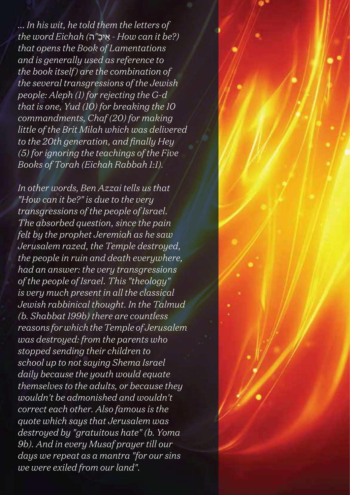*... In his wit, he told them the letters of the word Eichah (*ה *"*ָיכ ֵא *- How can it be?) that opens the Book of Lamentations and is generally used as reference to the book itself) are the combination of the several transgressions of the Jewish people: Aleph (1) for rejecting the G-d that is one, Yud (10) for breaking the 10 commandments, Chaf (20) for making little of the Brit Milah which was delivered to the 20th generation, and finally Hey (5) for ignoring the teachings of the Five Books of Torah (Eichah Rabbah 1:1).*

*In other words, Ben Azzai tells us that "How can it be?" is due to the very transgressions of the people of Israel. The absorbed question, since the pain felt by the prophet Jeremiah as he saw Jerusalem razed, the Temple destroyed, the people in ruin and death everywhere, had an answer: the very transgressions of the people of Israel. This "theology" is very much present in all the classical Jewish rabbinical thought. In the Talmud (b. Shabbat 199b) there are countless reasons for which the Temple of Jerusalem was destroyed: from the parents who stopped sending their children to school up to not saying Shema Israel daily because the youth would equate themselves to the adults, or because they wouldn't be admonished and wouldn't correct each other. Also famous is the quote which says that Jerusalem was destroyed by "gratuitous hate" (b. Yoma 9b). And in every Musaf prayer till our days we repeat as a mantra "for our sins we were exiled from our land".*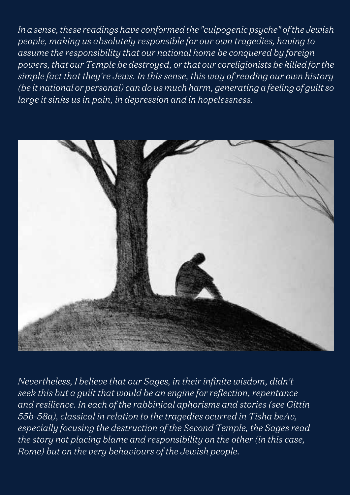*In a sense, these readings have conformed the "culpogenic psyche" of the Jewish people, making us absolutely responsible for our own tragedies, having to assume the responsibility that our national home be conquered by foreign powers, that our Temple be destroyed, or that our coreligionists be killed for the simple fact that they're Jews. In this sense, this way of reading our own history (be it national or personal) can do us much harm, generating a feeling of guilt so large it sinks us in pain, in depression and in hopelessness.* 



*Nevertheless, I believe that our Sages, in their infinite wisdom, didn't seek this but a guilt that would be an engine for reflection, repentance and resilience. In each of the rabbinical aphorisms and stories (see Gittin 55b-58a), classical in relation to the tragedies ocurred in Tisha beAv, especially focusing the destruction of the Second Temple, the Sages read the story not placing blame and responsibility on the other (in this case, Rome) but on the very behaviours of the Jewish people.*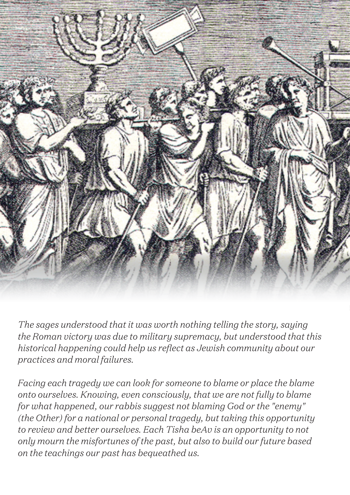

*The sages understood that it was worth nothing telling the story, saying the Roman victory was due to military supremacy, but understood that this historical happening could help us reflect as Jewish community about our practices and moral failures.*

*Facing each tragedy we can look for someone to blame or place the blame onto ourselves. Knowing, even consciously, that we are not fully to blame for what happened, our rabbis suggest not blaming God or the "enemy" (the Other) for a national or personal tragedy, but taking this opportunity to review and better ourselves. Each Tisha beAv is an opportunity to not only mourn the misfortunes of the past, but also to build our future based on the teachings our past has bequeathed us.*